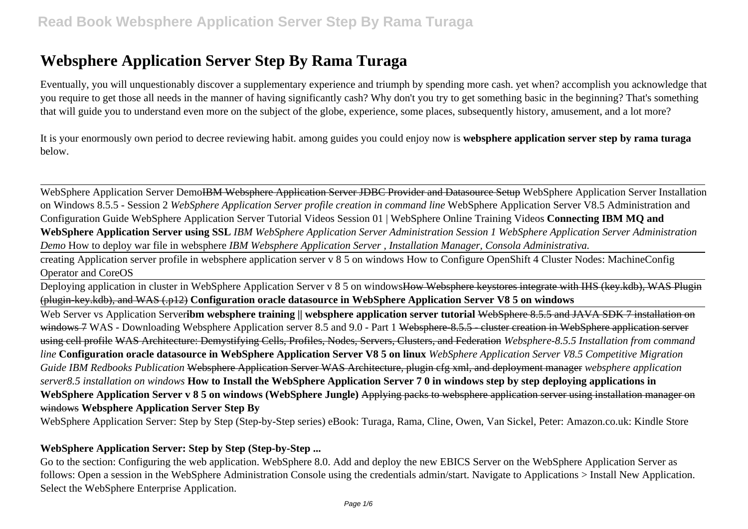Eventually, you will unquestionably discover a supplementary experience and triumph by spending more cash. yet when? accomplish you acknowledge that you require to get those all needs in the manner of having significantly cash? Why don't you try to get something basic in the beginning? That's something that will guide you to understand even more on the subject of the globe, experience, some places, subsequently history, amusement, and a lot more?

It is your enormously own period to decree reviewing habit. among guides you could enjoy now is **websphere application server step by rama turaga** below.

WebSphere Application Server Demo<del>IBM Websphere Application Server JDBC Provider and Datasource Setup</del> WebSphere Application Server Installation on Windows 8.5.5 - Session 2 *WebSphere Application Server profile creation in command line* WebSphere Application Server V8.5 Administration and Configuration Guide WebSphere Application Server Tutorial Videos Session 01 | WebSphere Online Training Videos **Connecting IBM MQ and WebSphere Application Server using SSL** *IBM WebSphere Application Server Administration Session 1 WebSphere Application Server Administration Demo* How to deploy war file in websphere *IBM Websphere Application Server , Installation Manager, Consola Administrativa.*

creating Application server profile in websphere application server v 8 5 on windows How to Configure OpenShift 4 Cluster Nodes: MachineConfig Operator and CoreOS

Deploying application in cluster in WebSphere Application Server v 8 5 on windows<del>How Websphere keystores integrate with IHS (key.kdb), WAS Plugin</del> (plugin-key.kdb), and WAS (.p12) **Configuration oracle datasource in WebSphere Application Server V8 5 on windows**

Web Server vs Application Server**ibm websphere training || websphere application server tutorial <del>WebSphere 8.5.5 and JAVA SDK 7 installation on</del>** windows 7 WAS - Downloading Websphere Application server 8.5 and 9.0 - Part 1 <del>Websphere-8.5.5 - cluster creation in WebSphere application server</del> using cell profile WAS Architecture: Demystifying Cells, Profiles, Nodes, Servers, Clusters, and Federation *Websphere-8.5.5 Installation from command line* **Configuration oracle datasource in WebSphere Application Server V8 5 on linux** *WebSphere Application Server V8.5 Competitive Migration Guide IBM Redbooks Publication* Websphere Application Server WAS Architecture, plugin cfg xml, and deployment manager *websphere application server8.5 installation on windows* **How to Install the WebSphere Application Server 7 0 in windows step by step deploying applications in WebSphere Application Server v 8 5 on windows (WebSphere Jungle)** Applying packs to websphere application server using installation manager on windows **Websphere Application Server Step By**

WebSphere Application Server: Step by Step (Step-by-Step series) eBook: Turaga, Rama, Cline, Owen, Van Sickel, Peter: Amazon.co.uk: Kindle Store

## **WebSphere Application Server: Step by Step (Step-by-Step ...**

Go to the section: Configuring the web application. WebSphere 8.0. Add and deploy the new EBICS Server on the WebSphere Application Server as follows: Open a session in the WebSphere Administration Console using the credentials admin/start. Navigate to Applications > Install New Application. Select the WebSphere Enterprise Application.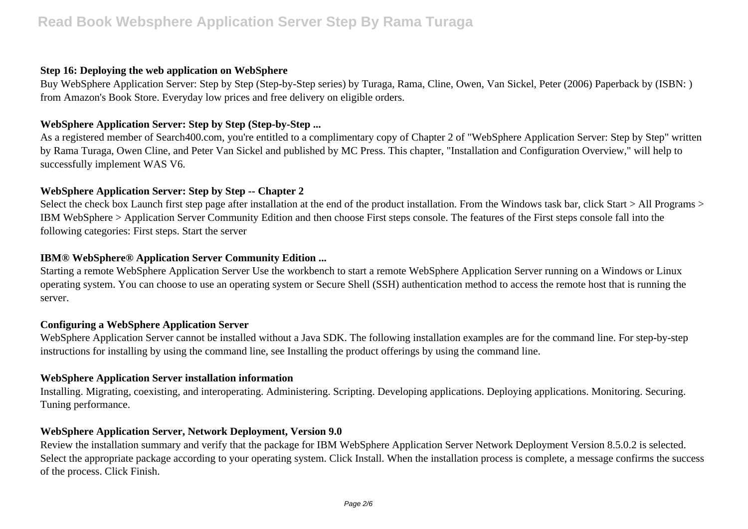#### **Step 16: Deploying the web application on WebSphere**

Buy WebSphere Application Server: Step by Step (Step-by-Step series) by Turaga, Rama, Cline, Owen, Van Sickel, Peter (2006) Paperback by (ISBN: ) from Amazon's Book Store. Everyday low prices and free delivery on eligible orders.

#### **WebSphere Application Server: Step by Step (Step-by-Step ...**

As a registered member of Search400.com, you're entitled to a complimentary copy of Chapter 2 of "WebSphere Application Server: Step by Step" written by Rama Turaga, Owen Cline, and Peter Van Sickel and published by MC Press. This chapter, "Installation and Configuration Overview," will help to successfully implement WAS V6.

#### **WebSphere Application Server: Step by Step -- Chapter 2**

Select the check box Launch first step page after installation at the end of the product installation. From the Windows task bar, click Start > All Programs > IBM WebSphere > Application Server Community Edition and then choose First steps console. The features of the First steps console fall into the following categories: First steps. Start the server

#### **IBM® WebSphere® Application Server Community Edition ...**

Starting a remote WebSphere Application Server Use the workbench to start a remote WebSphere Application Server running on a Windows or Linux operating system. You can choose to use an operating system or Secure Shell (SSH) authentication method to access the remote host that is running the server.

#### **Configuring a WebSphere Application Server**

WebSphere Application Server cannot be installed without a Java SDK. The following installation examples are for the command line. For step-by-step instructions for installing by using the command line, see Installing the product offerings by using the command line.

#### **WebSphere Application Server installation information**

Installing. Migrating, coexisting, and interoperating. Administering. Scripting. Developing applications. Deploying applications. Monitoring. Securing. Tuning performance.

#### **WebSphere Application Server, Network Deployment, Version 9.0**

Review the installation summary and verify that the package for IBM WebSphere Application Server Network Deployment Version 8.5.0.2 is selected. Select the appropriate package according to your operating system. Click Install. When the installation process is complete, a message confirms the success of the process. Click Finish.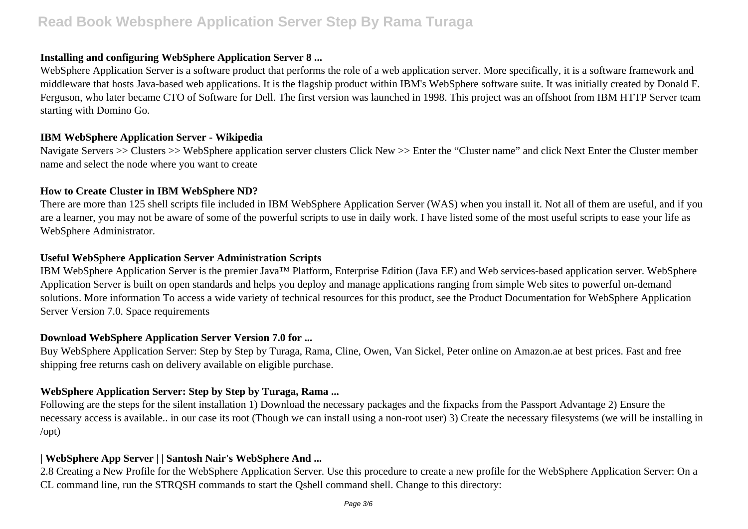### **Installing and configuring WebSphere Application Server 8 ...**

WebSphere Application Server is a software product that performs the role of a web application server. More specifically, it is a software framework and middleware that hosts Java-based web applications. It is the flagship product within IBM's WebSphere software suite. It was initially created by Donald F. Ferguson, who later became CTO of Software for Dell. The first version was launched in 1998. This project was an offshoot from IBM HTTP Server team starting with Domino Go.

## **IBM WebSphere Application Server - Wikipedia**

Navigate Servers >> Clusters >> WebSphere application server clusters Click New >> Enter the "Cluster name" and click Next Enter the Cluster member name and select the node where you want to create

### **How to Create Cluster in IBM WebSphere ND?**

There are more than 125 shell scripts file included in IBM WebSphere Application Server (WAS) when you install it. Not all of them are useful, and if you are a learner, you may not be aware of some of the powerful scripts to use in daily work. I have listed some of the most useful scripts to ease your life as WebSphere Administrator.

### **Useful WebSphere Application Server Administration Scripts**

IBM WebSphere Application Server is the premier Java™ Platform, Enterprise Edition (Java EE) and Web services-based application server. WebSphere Application Server is built on open standards and helps you deploy and manage applications ranging from simple Web sites to powerful on-demand solutions. More information To access a wide variety of technical resources for this product, see the Product Documentation for WebSphere Application Server Version 7.0. Space requirements

#### **Download WebSphere Application Server Version 7.0 for ...**

Buy WebSphere Application Server: Step by Step by Turaga, Rama, Cline, Owen, Van Sickel, Peter online on Amazon.ae at best prices. Fast and free shipping free returns cash on delivery available on eligible purchase.

## **WebSphere Application Server: Step by Step by Turaga, Rama ...**

Following are the steps for the silent installation 1) Download the necessary packages and the fixpacks from the Passport Advantage 2) Ensure the necessary access is available.. in our case its root (Though we can install using a non-root user) 3) Create the necessary filesystems (we will be installing in /opt)

## **| WebSphere App Server | | Santosh Nair's WebSphere And ...**

2.8 Creating a New Profile for the WebSphere Application Server. Use this procedure to create a new profile for the WebSphere Application Server: On a CL command line, run the STRQSH commands to start the Qshell command shell. Change to this directory: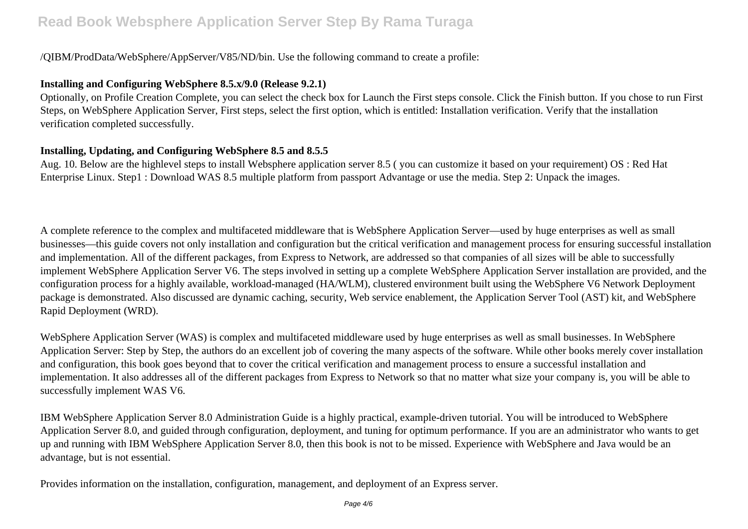## /QIBM/ProdData/WebSphere/AppServer/V85/ND/bin. Use the following command to create a profile:

## **Installing and Configuring WebSphere 8.5.x/9.0 (Release 9.2.1)**

Optionally, on Profile Creation Complete, you can select the check box for Launch the First steps console. Click the Finish button. If you chose to run First Steps, on WebSphere Application Server, First steps, select the first option, which is entitled: Installation verification. Verify that the installation verification completed successfully.

## **Installing, Updating, and Configuring WebSphere 8.5 and 8.5.5**

Aug. 10. Below are the highlevel steps to install Websphere application server 8.5 ( you can customize it based on your requirement) OS : Red Hat Enterprise Linux. Step1 : Download WAS 8.5 multiple platform from passport Advantage or use the media. Step 2: Unpack the images.

A complete reference to the complex and multifaceted middleware that is WebSphere Application Server—used by huge enterprises as well as small businesses—this guide covers not only installation and configuration but the critical verification and management process for ensuring successful installation and implementation. All of the different packages, from Express to Network, are addressed so that companies of all sizes will be able to successfully implement WebSphere Application Server V6. The steps involved in setting up a complete WebSphere Application Server installation are provided, and the configuration process for a highly available, workload-managed (HA/WLM), clustered environment built using the WebSphere V6 Network Deployment package is demonstrated. Also discussed are dynamic caching, security, Web service enablement, the Application Server Tool (AST) kit, and WebSphere Rapid Deployment (WRD).

WebSphere Application Server (WAS) is complex and multifaceted middleware used by huge enterprises as well as small businesses. In WebSphere Application Server: Step by Step, the authors do an excellent job of covering the many aspects of the software. While other books merely cover installation and configuration, this book goes beyond that to cover the critical verification and management process to ensure a successful installation and implementation. It also addresses all of the different packages from Express to Network so that no matter what size your company is, you will be able to successfully implement WAS V6.

IBM WebSphere Application Server 8.0 Administration Guide is a highly practical, example-driven tutorial. You will be introduced to WebSphere Application Server 8.0, and guided through configuration, deployment, and tuning for optimum performance. If you are an administrator who wants to get up and running with IBM WebSphere Application Server 8.0, then this book is not to be missed. Experience with WebSphere and Java would be an advantage, but is not essential.

Provides information on the installation, configuration, management, and deployment of an Express server.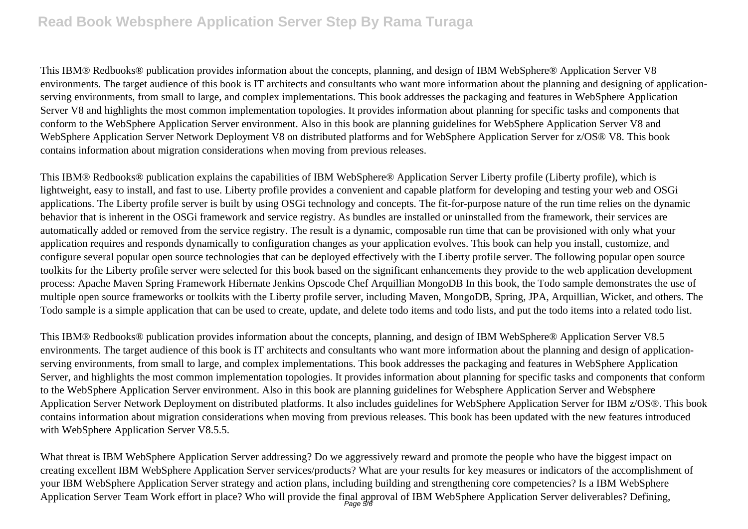This IBM® Redbooks® publication provides information about the concepts, planning, and design of IBM WebSphere® Application Server V8 environments. The target audience of this book is IT architects and consultants who want more information about the planning and designing of applicationserving environments, from small to large, and complex implementations. This book addresses the packaging and features in WebSphere Application Server V8 and highlights the most common implementation topologies. It provides information about planning for specific tasks and components that conform to the WebSphere Application Server environment. Also in this book are planning guidelines for WebSphere Application Server V8 and WebSphere Application Server Network Deployment V8 on distributed platforms and for WebSphere Application Server for z/OS® V8. This book contains information about migration considerations when moving from previous releases.

This IBM® Redbooks® publication explains the capabilities of IBM WebSphere® Application Server Liberty profile (Liberty profile), which is lightweight, easy to install, and fast to use. Liberty profile provides a convenient and capable platform for developing and testing your web and OSGi applications. The Liberty profile server is built by using OSGi technology and concepts. The fit-for-purpose nature of the run time relies on the dynamic behavior that is inherent in the OSGi framework and service registry. As bundles are installed or uninstalled from the framework, their services are automatically added or removed from the service registry. The result is a dynamic, composable run time that can be provisioned with only what your application requires and responds dynamically to configuration changes as your application evolves. This book can help you install, customize, and configure several popular open source technologies that can be deployed effectively with the Liberty profile server. The following popular open source toolkits for the Liberty profile server were selected for this book based on the significant enhancements they provide to the web application development process: Apache Maven Spring Framework Hibernate Jenkins Opscode Chef Arquillian MongoDB In this book, the Todo sample demonstrates the use of multiple open source frameworks or toolkits with the Liberty profile server, including Maven, MongoDB, Spring, JPA, Arquillian, Wicket, and others. The Todo sample is a simple application that can be used to create, update, and delete todo items and todo lists, and put the todo items into a related todo list.

This IBM® Redbooks® publication provides information about the concepts, planning, and design of IBM WebSphere® Application Server V8.5 environments. The target audience of this book is IT architects and consultants who want more information about the planning and design of applicationserving environments, from small to large, and complex implementations. This book addresses the packaging and features in WebSphere Application Server, and highlights the most common implementation topologies. It provides information about planning for specific tasks and components that conform to the WebSphere Application Server environment. Also in this book are planning guidelines for Websphere Application Server and Websphere Application Server Network Deployment on distributed platforms. It also includes guidelines for WebSphere Application Server for IBM z/OS®. This book contains information about migration considerations when moving from previous releases. This book has been updated with the new features introduced with WebSphere Application Server V8.5.5.

What threat is IBM WebSphere Application Server addressing? Do we aggressively reward and promote the people who have the biggest impact on creating excellent IBM WebSphere Application Server services/products? What are your results for key measures or indicators of the accomplishment of your IBM WebSphere Application Server strategy and action plans, including building and strengthening core competencies? Is a IBM WebSphere Application Server Team Work effort in place? Who will provide the final approval of IBM WebSphere Application Server deliverables? Defining,